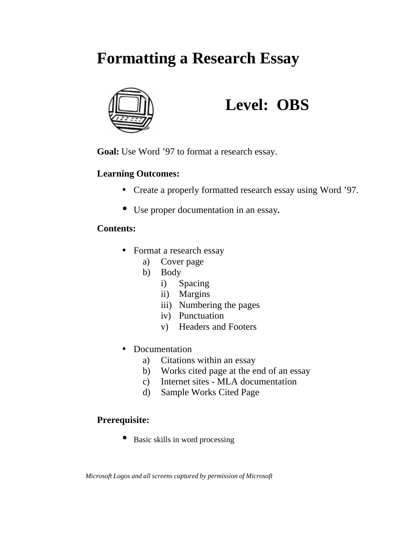# **Formatting a Research Essay**



# **Level: OBS**

**Goal:** Use Word '97 to format a research essay.

# **Learning Outcomes:**

- Create a properly formatted research essay using Word '97.
- Use proper documentation in an essay.

## **Contents:**

- Format a research essay
	- a) Cover page
	- b) Body
		- i) Spacing
		- ii) Margins
		- iii) Numbering the pages
		- iv) Punctuation
		- v) Headers and Footers
- Documentation
	- a) Citations within an essay
	- b) Works cited page at the end of an essay
	- c) Internet sites MLA documentation
	- d) Sample Works Cited Page

# **Prerequisite:**

• Basic skills in word processing

*Microsoft Logos and all screens captured by permission of Microsoft*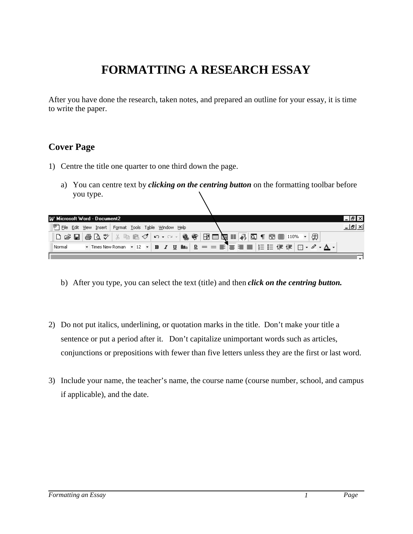# **FORMATTING A RESEARCH ESSAY**

After you have done the research, taken notes, and prepared an outline for your essay, it is time to write the paper.

## **Cover Page**

- 1) Centre the title one quarter to one third down the page.
	- a) You can centre text by *clicking on the centring button* on the formatting toolbar before you type.

| W Microsoft Word - Document2                                                                                                                                                                                                                                                                                                                                                                        |                                                                                                     |
|-----------------------------------------------------------------------------------------------------------------------------------------------------------------------------------------------------------------------------------------------------------------------------------------------------------------------------------------------------------------------------------------------------|-----------------------------------------------------------------------------------------------------|
| File Edit View Insert Format Tools Table Window Help                                                                                                                                                                                                                                                                                                                                                |                                                                                                     |
| $ \mathsf{D} \mathrel{\dot{\approx}} \mathsf{H} $ & $\mathsf{D} \mathrel{\mathsf{w}}$ $ \mathrel{\mathsf{w}}$ and $\mathrel{\mathsf{w}}$ and $\mathrel{\mathsf{w}}$ and $\mathrel{\mathsf{w}}$ and $\mathrel{\mathsf{w}}$ and $\mathrel{\mathsf{w}}$ and $\mathrel{\mathsf{w}}$ and $\mathrel{\mathsf{w}}$ and $\mathrel{\mathsf{w}}$ and $\mathrel{\mathsf{w}}$ and $\mathrel{\mathsf{w}}$ and $\$ |                                                                                                     |
| Normal                                                                                                                                                                                                                                                                                                                                                                                              | ▼ Times New Roman ▼ 12 ▼   B <i>I</i> U flna   Q = =   三   三   三   三   三   三   三   一 ノ × <u>A</u> ▼ |
|                                                                                                                                                                                                                                                                                                                                                                                                     |                                                                                                     |

- b) After you type, you can select the text (title) and then *click on the centring button.*
- 2) Do not put italics, underlining, or quotation marks in the title. Don't make your title a sentence or put a period after it. Don't capitalize unimportant words such as articles, conjunctions or prepositions with fewer than five letters unless they are the first or last word.
- 3) Include your name, the teacher's name, the course name (course number, school, and campus if applicable), and the date.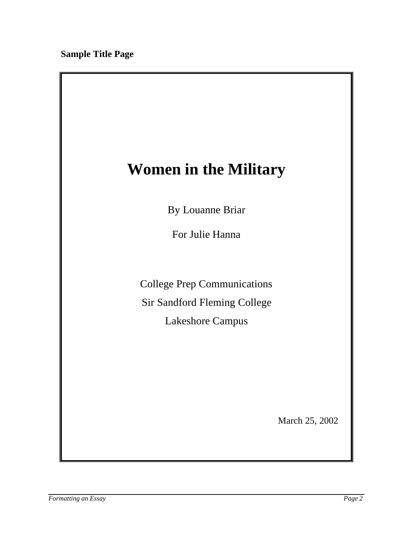# **Women in the Military**

By Louanne Briar

For Julie Hanna

College Prep Communications

Sir Sandford Fleming College

Lakeshore Campus

March 25, 2002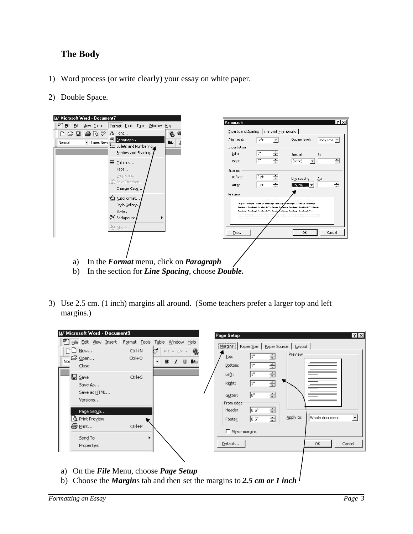# **The Body**

- 1) Word process (or write clearly) your essay on white paper.
- 2) Double Space.



- b) In the section for *Line Spacing*, choose *Double.*
- 3) Use 2.5 cm. (1 inch) margins all around. (Some teachers prefer a larger top and left margins.)

| W Microsoft Word - Document9                                                                                                                                                                            |                                                                                                                                                                                            | Page Setup                                                                                                                                                                                                                                                                                                                                          | $ ?  \times$         |
|---------------------------------------------------------------------------------------------------------------------------------------------------------------------------------------------------------|--------------------------------------------------------------------------------------------------------------------------------------------------------------------------------------------|-----------------------------------------------------------------------------------------------------------------------------------------------------------------------------------------------------------------------------------------------------------------------------------------------------------------------------------------------------|----------------------|
| File Edit View Insert<br>$\Gamma$ $\Box$ New<br>pen<br>Nor<br>$C$ lose<br><b>⊟</b> Save<br>Save As<br>Save as HTML<br>Versions<br>Page Setup<br><b>Q</b> Print Preview<br>叠 Print<br>Send <sub>To</sub> | Format Tools Table Window Help<br>ಟ್<br>Ctrl+N<br>$\mathbb{E}[\mathbb{I}] \quad \forall \quad \mathbb{C}[\mathbb{N}] \quad \forall \quad$<br>Ctrl+O<br>÷<br>$I$ U<br>в<br>Ctrl+S<br>Ctrl+P | Margins   Paper Size   Paper Source   Layout  <br>鲁<br>-Preview <sup>-</sup><br>÷<br>1"<br>$\mathbf{Lop}$ :<br>Ana<br>÷<br>Bottom:<br>1"<br>Ê<br>1"<br>Left:<br>클<br>Right:<br><sup>1"</sup><br>슬<br>lo"<br>Gutter:<br>From edge:<br>ŧ<br>0.5"<br>Header:<br>Whole document<br>Apply to:<br>골<br>$\vert 0.5"$<br>Footer:<br>$\Gamma$ Mirror margins | $\blacktriangledown$ |
| Properties                                                                                                                                                                                              |                                                                                                                                                                                            | Default<br>Cancel<br>OK.                                                                                                                                                                                                                                                                                                                            |                      |
|                                                                                                                                                                                                         | a) On the File Menu, choose Page Setup                                                                                                                                                     |                                                                                                                                                                                                                                                                                                                                                     |                      |

b) Choose the *Margin*s tab and then set the margins to *2.5 cm or 1 inch*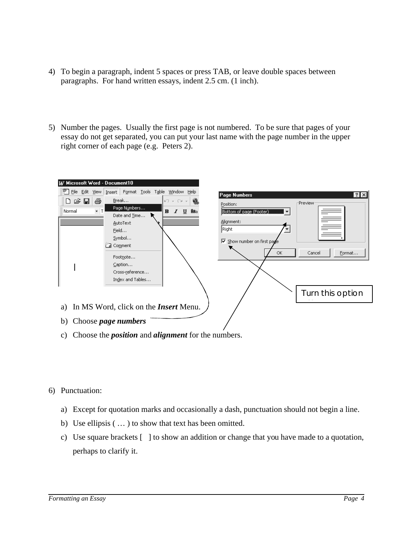- 4) To begin a paragraph, indent 5 spaces or press TAB, or leave double spaces between paragraphs. For hand written essays, indent 2.5 cm. (1 inch).
- 5) Number the pages. Usually the first page is not numbered. To be sure that pages of your essay do not get separated, you can put your last name with the page number in the upper right corner of each page (e.g. Peters 2).



- 6) Punctuation:
	- a) Except for quotation marks and occasionally a dash, punctuation should not begin a line.
	- b) Use ellipsis ( … ) to show that text has been omitted.
	- c) Use square brackets [ ] to show an addition or change that you have made to a quotation, perhaps to clarify it.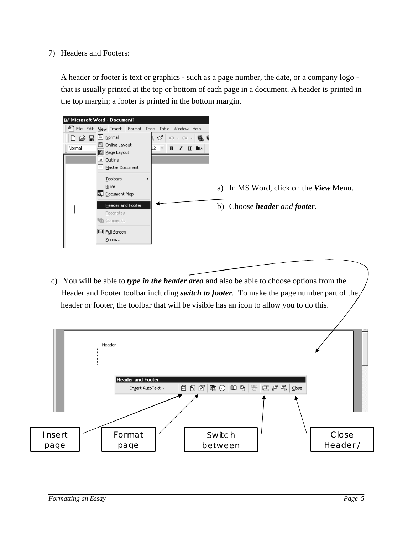7) Headers and Footers:

A header or footer is text or graphics - such as a page number, the date, or a company logo that is usually printed at the top or bottom of each page in a document. A header is printed in the top margin; a footer is printed in the bottom margin.



c) You will be able to *type in the header area* and also be able to choose options from the Header and Footer toolbar including *switch to footer.* To make the page number part of the header or footer, the toolbar that will be visible has an icon to allow you to do this.

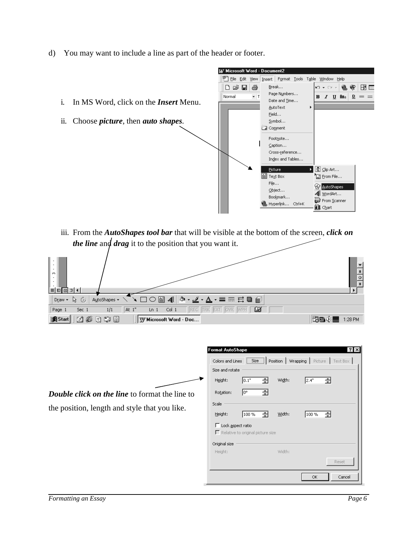d) You may want to include a line as part of the header or footer.



the position, length and style that you like.

| Size and rotate                                                 |       |             |       |       |
|-----------------------------------------------------------------|-------|-------------|-------|-------|
| Height:                                                         | 0.1"  | Width:<br>칅 | 2.4"  | ÷     |
| Rotation:                                                       | lo∘   | 골           |       |       |
| Scale                                                           |       |             |       |       |
| Height:                                                         | 100 % | 奇<br>Width: | 100 % | -술    |
| $\Gamma$ Lock aspect ratio<br>Relative to original picture size |       |             |       |       |
|                                                                 |       |             |       |       |
| Original size                                                   |       |             |       |       |
| Height:                                                         |       | Width:      |       |       |
|                                                                 |       |             |       | Reset |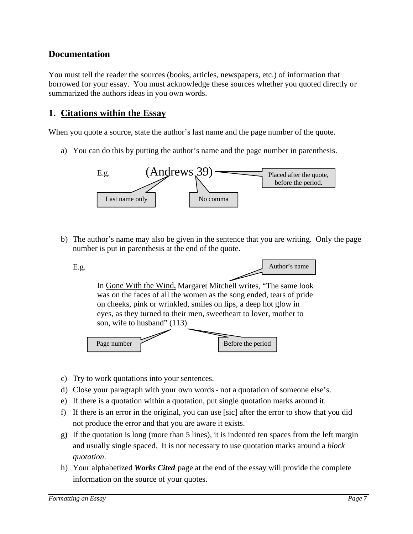### **Documentation**

You must tell the reader the sources (books, articles, newspapers, etc.) of information that borrowed for your essay. You must acknowledge these sources whether you quoted directly or summarized the authors ideas in you own words.

### **1. Citations within the Essay**

When you quote a source, state the author's last name and the page number of the quote.

a) You can do this by putting the author's name and the page number in parenthesis.



b) The author's name may also be given in the sentence that you are writing. Only the page number is put in parenthesis at the end of the quote.



- c) Try to work quotations into your sentences.
- d) Close your paragraph with your own words not a quotation of someone else's.
- e) If there is a quotation within a quotation, put single quotation marks around it.
- f) If there is an error in the original, you can use [sic] after the error to show that you did not produce the error and that you are aware it exists.
- g) If the quotation is long (more than 5 lines), it is indented ten spaces from the left margin and usually single spaced. It is not necessary to use quotation marks around a *block quotation*.
- h) Your alphabetized *Works Cited* page at the end of the essay will provide the complete information on the source of your quotes.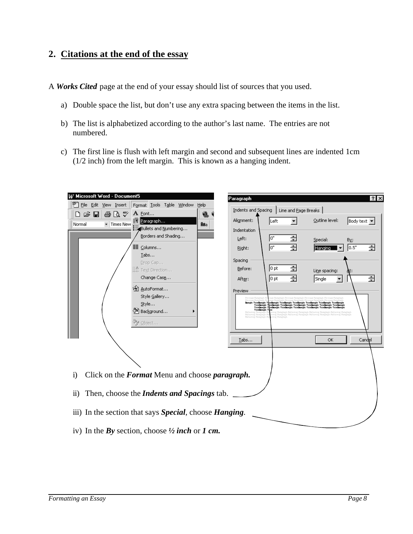## **2. Citations at the end of the essay**

A *Works Cited* page at the end of your essay should list of sources that you used.

- a) Double space the list, but don't use any extra spacing between the items in the list.
- b) The list is alphabetized according to the author's last name. The entries are not numbered.
- c) The first line is flush with left margin and second and subsequent lines are indented 1cm (1/2 inch) from the left margin. This is known as a hanging indent.

| Microsoft Word - Document5                                                                |                                                                                                                                                                                                                                |                                                                                                                                                    |
|-------------------------------------------------------------------------------------------|--------------------------------------------------------------------------------------------------------------------------------------------------------------------------------------------------------------------------------|----------------------------------------------------------------------------------------------------------------------------------------------------|
|                                                                                           | Paragraph                                                                                                                                                                                                                      | $ ?  \times$                                                                                                                                       |
| File Edit View Insert<br>Format Tools Table Window<br>Help                                | Indents and Spacing<br>Line and Page Breaks                                                                                                                                                                                    |                                                                                                                                                    |
| াই ৺ৈ<br>A Font<br>r¥ lei<br>ê,<br>うちゅうしゃ ちょうかい ちょうきょう ちょうきょう しょうしょう ちょうしょう ちょうしゅう きょうしゅう | Alignment:                                                                                                                                                                                                                     | Outline level:                                                                                                                                     |
| <b>ज∏P</b> aragraph<br>- Times New<br>Normal<br>Ana<br>Bullets and Numbering              | Left                                                                                                                                                                                                                           | Body text ▼                                                                                                                                        |
| Borders and Shading                                                                       | Indentation                                                                                                                                                                                                                    |                                                                                                                                                    |
|                                                                                           | ÷<br>lo"<br>Left:                                                                                                                                                                                                              | Special:<br>By:                                                                                                                                    |
| <sup>■</sup> Columns                                                                      | ÷<br>lo"<br>Right:                                                                                                                                                                                                             | 0.5"<br>슬<br><b>Hanging</b>                                                                                                                        |
| Tabs                                                                                      | Spacing                                                                                                                                                                                                                        |                                                                                                                                                    |
| Drop Cap                                                                                  | 칅<br>10 pt<br>Before:                                                                                                                                                                                                          |                                                                                                                                                    |
| IIn Text Direction                                                                        |                                                                                                                                                                                                                                | Line spacing:<br>qt:                                                                                                                               |
| Change Case                                                                               | ÷<br>10 pt<br>After:                                                                                                                                                                                                           | Ê<br>Single<br>▼                                                                                                                                   |
| 省 AutoFormat                                                                              | Preview                                                                                                                                                                                                                        |                                                                                                                                                    |
| Style Gallery                                                                             |                                                                                                                                                                                                                                |                                                                                                                                                    |
| Style                                                                                     | signatori signatori signatori signatori signatori signatori signatori signat<br>signatori signatori signatori signatori signatori signatori signatori<br>signatori signatori signatori signatori signatori signatori signatori |                                                                                                                                                    |
| ◇】Background                                                                              | Teachingle Teac<br>Polloving Pa<br><b>Pollowing Paragraph</b><br>Pollowing Paragraph P<br>ang Pagumush                                                                                                                         | hangruph Pollowing Paragruph Pollowing Paragruph Pollowing Paragruph<br>wing Paragraph Pollowing Paragraph Pollowing Paragraph Pollowing Paragraph |
| Object                                                                                    |                                                                                                                                                                                                                                |                                                                                                                                                    |
|                                                                                           |                                                                                                                                                                                                                                |                                                                                                                                                    |
|                                                                                           | Tabs                                                                                                                                                                                                                           | ОК<br>Candel                                                                                                                                       |
|                                                                                           |                                                                                                                                                                                                                                |                                                                                                                                                    |
|                                                                                           |                                                                                                                                                                                                                                |                                                                                                                                                    |
|                                                                                           |                                                                                                                                                                                                                                |                                                                                                                                                    |
| Click on the Format Menu and choose paragraph.<br>$\ddot{i}$                              |                                                                                                                                                                                                                                |                                                                                                                                                    |
|                                                                                           |                                                                                                                                                                                                                                |                                                                                                                                                    |
|                                                                                           |                                                                                                                                                                                                                                |                                                                                                                                                    |
| Then, choose the <i>Indents and Spacings</i> tab.<br>$\ddot{\text{ii}})$                  |                                                                                                                                                                                                                                |                                                                                                                                                    |
|                                                                                           |                                                                                                                                                                                                                                |                                                                                                                                                    |
| iii) In the section that says Special, choose Hanging.                                    |                                                                                                                                                                                                                                |                                                                                                                                                    |
|                                                                                           |                                                                                                                                                                                                                                |                                                                                                                                                    |
| iv) In the By section, choose $\frac{1}{2}$ inch or 1 cm.                                 |                                                                                                                                                                                                                                |                                                                                                                                                    |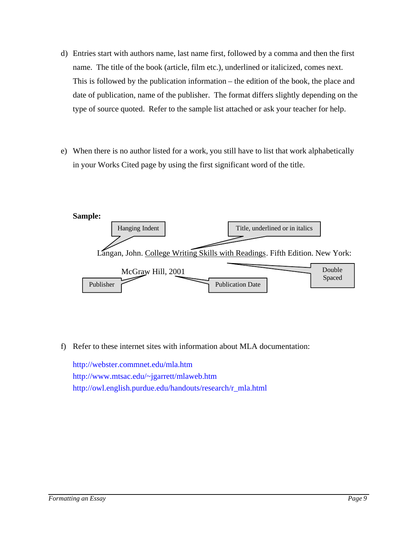- d) Entries start with authors name, last name first, followed by a comma and then the first name. The title of the book (article, film etc.), underlined or italicized, comes next. This is followed by the publication information – the edition of the book, the place and date of publication, name of the publisher. The format differs slightly depending on the type of source quoted. Refer to the sample list attached or ask your teacher for help.
- e) When there is no author listed for a work, you still have to list that work alphabetically in your Works Cited page by using the first significant word of the title.



f) Refer to these internet sites with information about MLA documentation:

<http://webster.commnet.edu/mla.htm> <http://www.mtsac.edu/~jgarrett/mlaweb.htm> [http://owl.english.purdue.edu/handouts/research/r\\_mla.html](http://owl.english.purdue.edu/handouts/research/r_mla.html)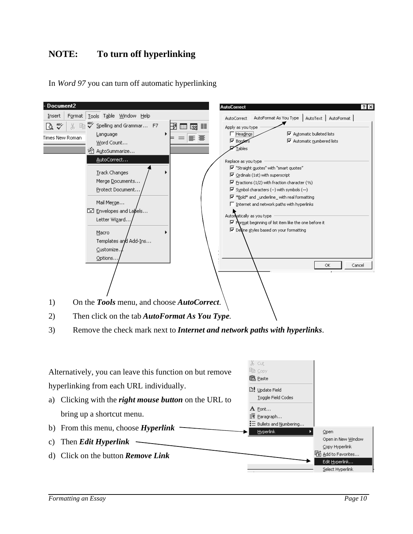# **NOTE: To turn off hyperlinking**

In *Word 97* you can turn off automatic hyperlinking

| - Document2                                                                                                                                                                                                                                                                                                                                                                                                    | <b>AutoCorrect</b><br>$ ?  \times$                                                                                                                                                                                                                                                                                                                                                                                                                                                                                                                   |
|----------------------------------------------------------------------------------------------------------------------------------------------------------------------------------------------------------------------------------------------------------------------------------------------------------------------------------------------------------------------------------------------------------------|------------------------------------------------------------------------------------------------------------------------------------------------------------------------------------------------------------------------------------------------------------------------------------------------------------------------------------------------------------------------------------------------------------------------------------------------------------------------------------------------------------------------------------------------------|
| Tools Table Window Help<br>Insert<br>Format                                                                                                                                                                                                                                                                                                                                                                    | AutoFormat As You Type   AutoText   AutoFormat  <br>AutoCorrect                                                                                                                                                                                                                                                                                                                                                                                                                                                                                      |
| <br>Spelling and Grammar F7<br>X<br>lib<br>-129<br>壨<br>医对<br>Language<br>Times New Roman<br>三 言<br>Word Count<br>名 AutoSummarize                                                                                                                                                                                                                                                                              | Apply as you type<br><b>▽</b> Automatic bulleted lists<br>Headings<br><b>▽</b> Automatic numbered lists<br><b>I</b> V Borders<br>Tables                                                                                                                                                                                                                                                                                                                                                                                                              |
| <u>A</u> utoCorrect<br><b>Track Changes</b><br>Merge Documents<br>Protect Document.<br>Mail Merge<br>E Envelopes and Labels<br>Letter Wizard<br>Macro<br>Templates and Add-Ins<br>Customize.<br>Options.<br>On the Tools menu, and choose AutoCorrect.<br>1)<br>Then click on the tab AutoFormat As You Type.<br>2)<br>Remove the check mark next to <i>Internet and network paths with hyperlinks</i> .<br>3) | Replace as you type<br>Ⅳ "Straight guotes" with "smart quotes"<br>$\overline{\mathbf{V}}$ Ordinals (1st) with superscript<br>$\overline{\mathsf{M}}$ Eractions (1/2) with fraction character (1/2)<br>$\overline{\triangledown}$ Symbol characters (--) with symbols (-)<br><b>I</b> <sup>¥</sup> Bold* and _underline_ with real formatting<br>$\Box$ Internet and network paths with hyperlinks<br>Automatically as you type<br>Ⅳ Pormat beginning of list item like the one before it<br>Ⅳ Define styles based on your formatting<br>ОК<br>Cancel |
| Alternatively, you can leave this function on but remove<br>hyperlinking from each URL individually.<br>Clicking with the right mouse button on the URL to<br>a)<br>bring up a shortcut menu.<br>From this menu, choose $Hyperlink$<br>b)<br>Then Edit Hyperlink<br>C)<br>Click on the button Remove Link<br>d)                                                                                                | る Cut<br>ling copy<br>မြီ <u>P</u> aste<br><b>a!</b> Update Field<br>Toggle Field Codes<br>${\bf A}$ Eont<br>Ξ¶ <u>P</u> aragraph<br>$\equiv$ Bullets and Numbering<br><b>Hyperlink</b><br>Open<br>Open in New Window<br>Copy Hyperlink<br>图 Add to Favorites<br>Edit Hyperlink<br>Select Hyperlink                                                                                                                                                                                                                                                  |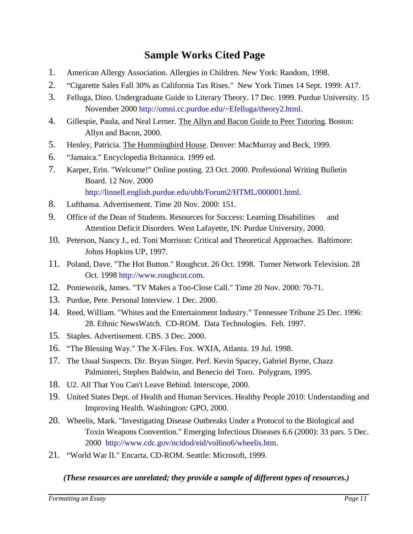# **Sample Works Cited Page**

- 1. American Allergy Association. Allergies in Children. New York: Random, 1998.
- 2. "Cigarette Sales Fall 30% as California Tax Rises." New York Times 14 Sept. 1999: A17.
- 3. Felluga, Dino. Undergraduate Guide to Literary Theory. 17 Dec. 1999. Purdue University. 15 November 2000 [http://omni.cc.purdue.edu/~Efelluga/theory2.html.](http://omni.cc.purdue.edu/~felluga/theory2.html)
- 4. Gillespie, Paula, and Neal Lerner. The Allyn and Bacon Guide to Peer Tutoring. Boston: Allyn and Bacon, 2000.
- 5. Henley, Patricia. The Hummingbird House. Denver: MacMurray and Beck, 1999.
- 6. "Jamaica." Encyclopedia Britannica. 1999 ed.
- 7. Karper, Erin. "Welcome!" Online posting. 23 Oct. 2000. Professional Writing Bulletin Board. 12 Nov. 2000 [http://linnell.english.purdue.edu/ubb/Forum2/HTML/000001.html.](http://www.library.fordham.edu/resources/cite_edocument.html)
- 8. Lufthansa. Advertisement. Time 20 Nov. 2000: 151.
- 9. Office of the Dean of Students. Resources for Success: Learning Disabilities and Attention Deficit Disorders. West Lafayette, IN: Purdue University, 2000.
- 10. Peterson, Nancy J., ed. Toni Morrison: Critical and Theoretical Approaches. Baltimore: Johns Hopkins UP, 1997.
- 11. Poland, Dave. "The Hot Button." Roughcut. 26 Oct. 1998. Turner Network Television. 28 Oct. 1998 [http://www.roughcut.com.](http://www.roughcut.com)
- 12. Poniewozik, James. "TV Makes a Too-Close Call." Time 20 Nov. 2000: 70-71.
- 13. Purdue, Pete. Personal Interview. 1 Dec. 2000.
- 14. Reed, William. "Whites and the Entertainment Industry." Tennessee Tribune 25 Dec. 1996: 28. Ethnic NewsWatch. CD-ROM. Data Technologies. Feb. 1997.
- 15. Staples. Advertisement. CBS. 3 Dec. 2000.
- 16. "The Blessing Way." The X-Files. Fox. WXIA, Atlanta. 19 Jul. 1998.
- 17. The Usual Suspects. Dir. Bryan Singer. Perf. Kevin Spacey, Gabriel Byrne, Chazz Palminteri, Stephen Baldwin, and Benecio del Toro. Polygram, 1995.
- 18. U2. All That You Can't Leave Behind. Interscope, 2000.
- 19. United States Dept. of Health and Human Services. Healthy People 2010: Understanding and Improving Health. Washington: GPO, 2000.
- 20. Wheelis, Mark. "Investigating Disease Outbreaks Under a Protocol to the Biological and Toxin Weapons Convention." Emerging Infectious Diseases 6.6 (2000): 33 pars. 5 Dec. 2000 [http://www.cdc.gov/ncidod/eid/vol6no6/wheelis.htm.](http://www.cdc.gov/ncidod/eid/vol6no6/wheelis.htm)
- 21. "World War II." Encarta. CD-ROM. Seattle: Microsoft, 1999.

#### *(These resources are unrelated; they provide a sample of different types of resources.)*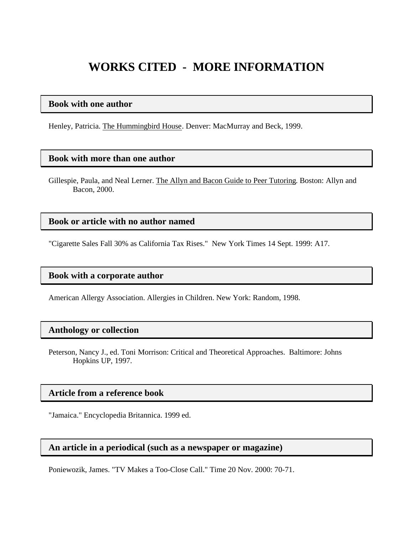# **WORKS CITED - MORE INFORMATION**

#### **Book with one author**

Henley, Patricia. The Hummingbird House. Denver: MacMurray and Beck, 1999.

#### **Book with more than one author**

Gillespie, Paula, and Neal Lerner. The Allyn and Bacon Guide to Peer Tutoring. Boston: Allyn and Bacon, 2000.

#### **Book or article with no author named**

"Cigarette Sales Fall 30% as California Tax Rises." New York Times 14 Sept. 1999: A17.

#### **Book with a corporate author**

American Allergy Association. Allergies in Children. New York: Random, 1998.

#### **Anthology or collection**

Peterson, Nancy J., ed. Toni Morrison: Critical and Theoretical Approaches. Baltimore: Johns Hopkins UP, 1997.

#### **Article from a reference book**

"Jamaica." Encyclopedia Britannica. 1999 ed.

#### **An article in a periodical (such as a newspaper or magazine)**

Poniewozik, James. "TV Makes a Too-Close Call." Time 20 Nov. 2000: 70-71.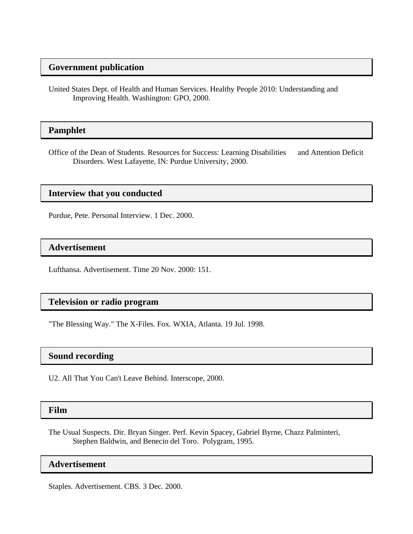### **Government publication**

United States Dept. of Health and Human Services. Healthy People 2010: Understanding and Improving Health. Washington: GPO, 2000.

#### **Pamphlet**

Office of the Dean of Students. Resources for Success: Learning Disabilities and Attention Deficit Disorders. West Lafayette, IN: Purdue University, 2000.

#### **Interview that you conducted**

Purdue, Pete. Personal Interview. 1 Dec. 2000.

#### **Advertisement**

Lufthansa. Advertisement. Time 20 Nov. 2000: 151.

#### **Television or radio program**

"The Blessing Way." The X-Files. Fox. WXIA, Atlanta. 19 Jul. 1998.

#### **Sound recording**

U2. All That You Can't Leave Behind. Interscope, 2000.

#### **Film**

The Usual Suspects. Dir. Bryan Singer. Perf. Kevin Spacey, Gabriel Byrne, Chazz Palminteri, Stephen Baldwin, and Benecio del Toro. Polygram, 1995.

#### **Advertisement**

Staples. Advertisement. CBS. 3 Dec. 2000.